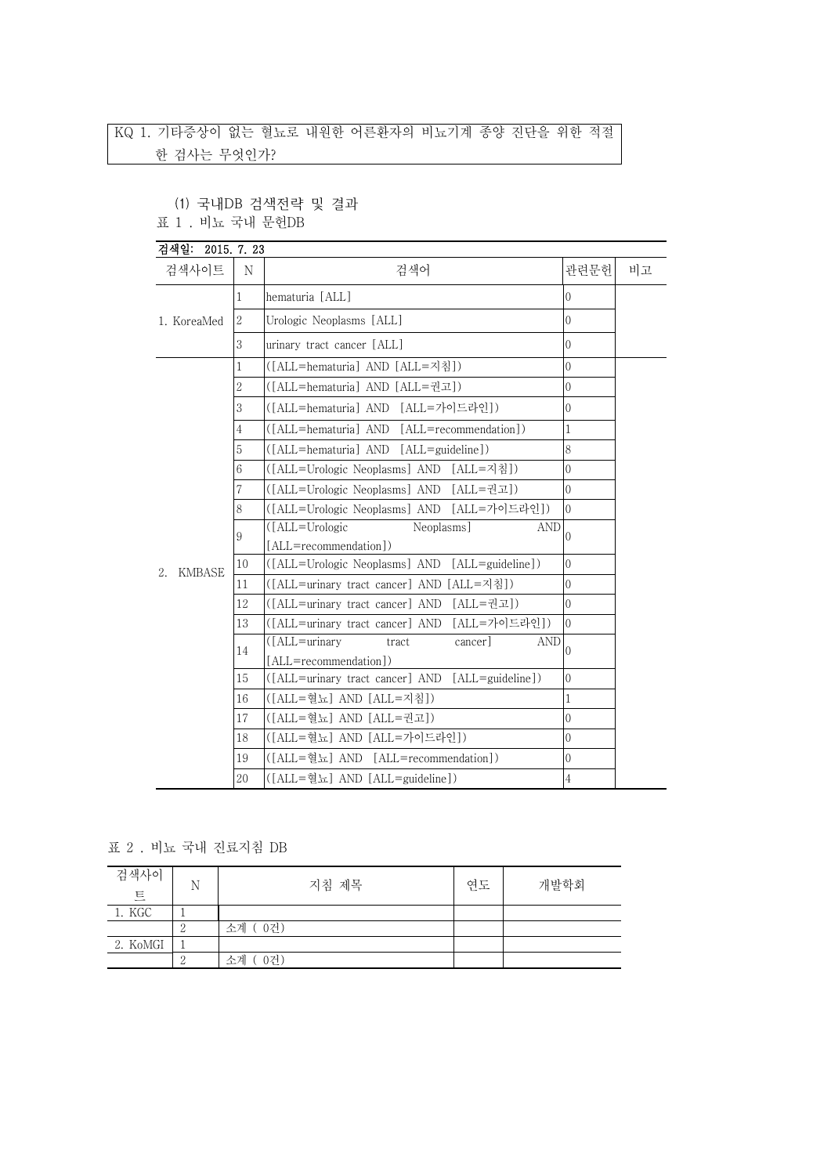## KQ 1. 기타증상이 없는 혈뇨로 내원한 어른환자의 비뇨기계 종양 진단을 위한 적절 한 검사는 무엇인가?

(1) 국내DB 검색전략 및 결과

표 1 . 비뇨 국내 문헌DB

| 검색일: 2015. 7. 23    |                |                                                                                           |                |    |
|---------------------|----------------|-------------------------------------------------------------------------------------------|----------------|----|
| 검색사이트               | N              | 검색어                                                                                       | 관련문헌           | 비고 |
| 1. KoreaMed         | 1              | hematuria [ALL]                                                                           | $\theta$       |    |
|                     | 2              | Urologic Neoplasms [ALL]                                                                  | $\theta$       |    |
|                     | 3              | urinary tract cancer [ALL]                                                                | $\overline{0}$ |    |
|                     | 1              | ([ALL=hematuria] AND [ALL=지침])                                                            | $\overline{0}$ |    |
|                     | $\overline{2}$ | ([ALL=hematuria] AND [ALL=권고])                                                            | $\overline{0}$ |    |
|                     | 3              | ([ALL=hematuria] AND [ALL=가이드라인])                                                         | 0              |    |
|                     | 4              | ([ALL=hematuria] AND [ALL=recommendation])                                                | 1              |    |
|                     | 5              | ([ALL=hematuria] AND [ALL=guideline])                                                     | 8              |    |
|                     | 6              | ([ALL=Urologic Neoplasms] AND [ALL=지침])                                                   | $\overline{0}$ |    |
|                     | 7              | ([ALL=Urologic Neoplasms] AND [ALL=권고])                                                   | $\overline{0}$ |    |
|                     | 8              | ([ALL=Urologic Neoplasms] AND [ALL=가이드라인])                                                | $\overline{0}$ |    |
|                     | 9              | ([ALL=Urologic<br>Neoplasms]<br><b>AND</b>                                                | $\Omega$       |    |
|                     |                | [ALL=recommendation])                                                                     |                |    |
| <b>KMBASE</b><br>2. | 10             | ([ALL=Urologic Neoplasms] AND [ALL=guideline])                                            | $\theta$       |    |
|                     | 11             | ([ALL=urinary tract cancer] AND [ALL=지침])                                                 | $\Omega$       |    |
|                     | 12             | ([ALL=urinary tract cancer] AND<br>[ALL=궈고])                                              | $\mathbf{0}$   |    |
|                     | 13             | [ALL=가이드라인])<br>([ALL=urinary tract cancer] AND<br>([ALL=urinary<br><b>AND</b><br>cancer] | $\overline{0}$ |    |
|                     | 14             | tract<br>[ALL=recommendation])                                                            | $\Omega$       |    |
|                     | 15             | ([ALL=urinary tract cancer] AND [ALL=guideline])                                          | $\mathbf{0}$   |    |
|                     | 16             | ([ALL=혈뇨] AND [ALL=지침])                                                                   | 1              |    |
|                     | 17             | ([ALL=혈뇨] AND [ALL=권고])                                                                   | $\overline{0}$ |    |
|                     | 18             | ([ALL=혈뇨] AND [ALL=가이드라인])                                                                | $\overline{0}$ |    |
|                     | 19             | ([ALL=혈뇨] AND [ALL=recommendation])                                                       | 0              |    |
|                     | 20             | ([ALL=혈뇨] AND [ALL=guideline])                                                            | 4              |    |

표 2 . 비뇨 국내 진료지침 DB

| 검색사이<br>트 | N | 지침 제목         | 연도 | 개발학회 |
|-----------|---|---------------|----|------|
| 1. KGC    |   |               |    |      |
|           |   | ( 0건)<br>소계 ( |    |      |
| 2. KoMGI  |   |               |    |      |
|           |   | 0건)<br>소계     |    |      |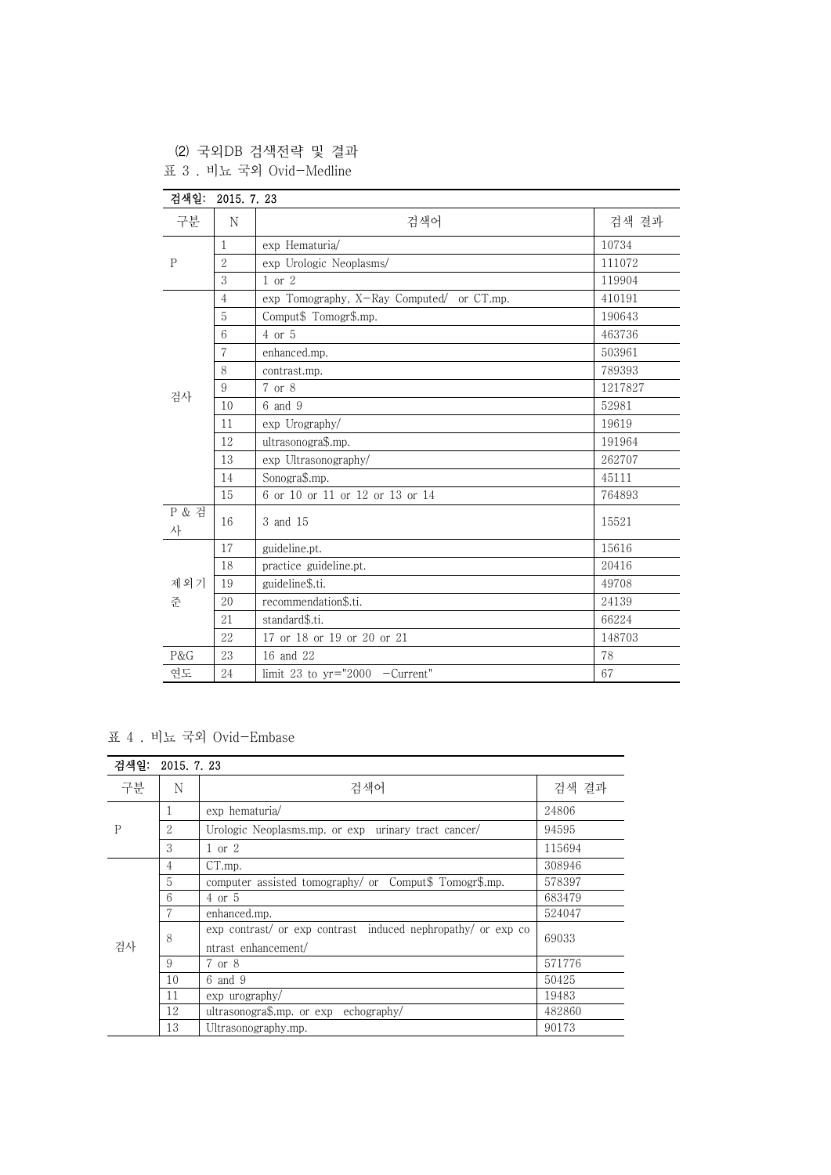(2) 국외DB 검색전략 및 결과

표 3 . 비뇨 국외 Ovid-Medline

| 검색일:        | 2015. 7. 23    |                                           |         |
|-------------|----------------|-------------------------------------------|---------|
| 구분          | N              | 검색어                                       | 검색 결과   |
| $\mathbf P$ | $\mathbf{1}$   | exp Hematuria/                            | 10734   |
|             | $\overline{2}$ | exp Urologic Neoplasms/                   | 111072  |
|             | 3              | $1$ or $2$                                | 119904  |
|             | $\overline{4}$ | exp Tomography, X-Ray Computed/ or CT.mp. | 410191  |
|             | 5              | Comput\$ Tomogr\$.mp.                     | 190643  |
|             | 6              | $4$ or $5$                                | 463736  |
|             | 7              | enhanced.mp.                              | 503961  |
|             | 8              | contrast.mp.                              | 789393  |
| 검사          | 9              | 7 or 8                                    | 1217827 |
|             | 10             | $6$ and $9$                               | 52981   |
|             | 11             | exp Urography/                            | 19619   |
|             | 12             | ultrasonogra\$.mp.                        | 191964  |
|             | 13             | exp Ultrasonography/                      | 262707  |
|             | 14             | Sonogra\$.mp.                             | 45111   |
|             | 15             | 6 or 10 or 11 or 12 or 13 or 14           | 764893  |
| P & 검<br>사  | 16             | 3 and 15                                  | 15521   |
|             | 17             | guideline.pt.                             | 15616   |
|             | 18             | practice guideline.pt.                    | 20416   |
| 제외기         | 19             | guideline\$.ti.                           | 49708   |
| 준           | 20             | recommendation\$.ti.                      | 24139   |
|             | 21             | standard\$.ti.                            | 66224   |
|             | 22             | 17 or 18 or 19 or 20 or 21                | 148703  |
| P&G         | 23             | 16 and 22                                 | 78      |
| 여도          | 24             | limit 23 to $yr="2000$ -Current"          | 67      |

표 4 . 비뇨 국외 Ovid-Embase

| 검색일:<br>2015. 7. 23 |    |                                                                                     |        |
|---------------------|----|-------------------------------------------------------------------------------------|--------|
| 구분                  | N  | 검색어                                                                                 | 검색 결과  |
| P                   | T  | exp hematuria/                                                                      | 24806  |
|                     | 2  | Urologic Neoplasms.mp. or exp urinary tract cancer/                                 | 94595  |
|                     | 3  | $1$ or $2$                                                                          | 115694 |
|                     | 4  | CT.mp.                                                                              | 308946 |
|                     | 5  | computer assisted tomography/ or Comput\$ Tomogr\$.mp.                              | 578397 |
|                     | 6  | $4$ or $5$                                                                          | 683479 |
|                     |    | enhanced.mp.                                                                        | 524047 |
| 검사                  | 8  | exp contrast/ or exp contrast induced nephropathy/ or exp co<br>ntrast enhancement/ | 69033  |
|                     | 9  | 7 or 8                                                                              | 571776 |
|                     | 10 | 6 and 9                                                                             | 50425  |
|                     | 11 | exp urography/                                                                      | 19483  |
|                     | 12 | ultrasonogra $\text{\$.mp.}$ or $\exp$ echography/                                  | 482860 |
|                     | 13 | Ultrasonography.mp.                                                                 | 90173  |